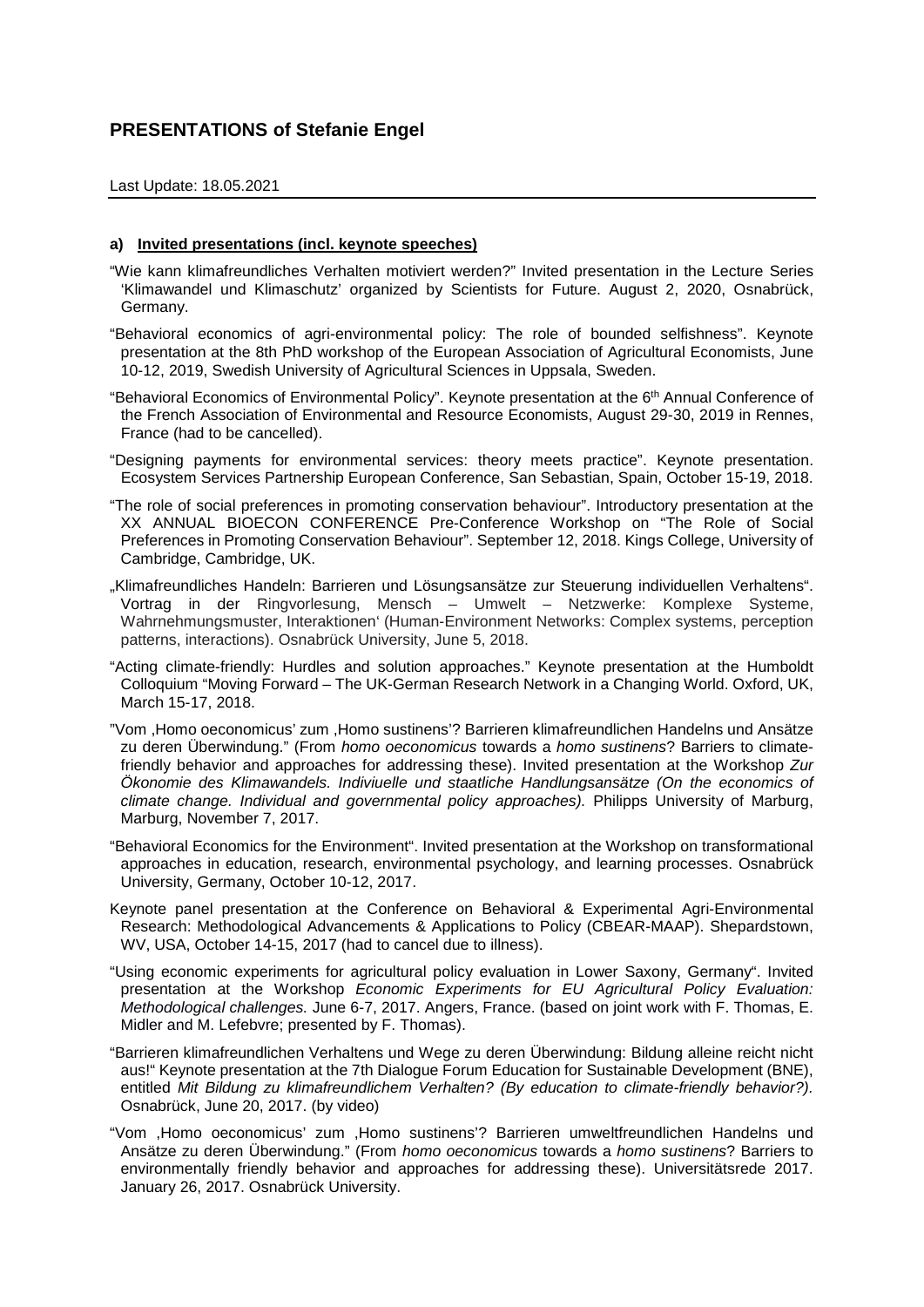## **PRESENTATIONS of Stefanie Engel**

## Last Update: 18.05.2021

## **a) Invited presentations (incl. keynote speeches)**

"Wie kann klimafreundliches Verhalten motiviert werden?" Invited presentation in the Lecture Series 'Klimawandel und Klimaschutz' organized by Scientists for Future. August 2, 2020, Osnabrück, Germany.

"Behavioral economics of agri-environmental policy: The role of bounded selfishness". Keynote presentation at the 8th PhD workshop of the European Association of Agricultural Economists, June 10-12, 2019, Swedish University of Agricultural Sciences in Uppsala, Sweden.

"Behavioral Economics of Environmental Policy". Keynote presentation at the 6th Annual Conference of the French Association of Environmental and Resource Economists, August 29-30, 2019 in Rennes, France (had to be cancelled).

"Designing payments for environmental services: theory meets practice". Keynote presentation. Ecosystem Services Partnership European Conference, San Sebastian, Spain, October 15-19, 2018.

- "The role of social preferences in promoting conservation behaviour". Introductory presentation at the XX ANNUAL BIOECON CONFERENCE Pre-Conference Workshop on "The Role of Social Preferences in Promoting Conservation Behaviour". September 12, 2018. Kings College, University of Cambridge, Cambridge, UK.
- "Klimafreundliches Handeln: Barrieren und Lösungsansätze zur Steuerung individuellen Verhaltens". Vortrag in der Ringvorlesung, Mensch – Umwelt – Netzwerke: Komplexe Systeme, Wahrnehmungsmuster, Interaktionen' (Human-Environment Networks: Complex systems, perception patterns, interactions). Osnabrück University, June 5, 2018.
- "Acting climate-friendly: Hurdles and solution approaches." Keynote presentation at the Humboldt Colloquium "Moving Forward – The UK-German Research Network in a Changing World. Oxford, UK, March 15-17, 2018.
- "Vom ,Homo oeconomicus' zum ,Homo sustinens'? Barrieren klimafreundlichen Handelns und Ansätze zu deren Überwindung." (From *homo oeconomicus* towards a *homo sustinens*? Barriers to climatefriendly behavior and approaches for addressing these). Invited presentation at the Workshop *Zur Ökonomie des Klimawandels. Indiviuelle und staatliche Handlungsansätze (On the economics of climate change. Individual and governmental policy approaches).* Philipps University of Marburg, Marburg, November 7, 2017.
- "Behavioral Economics for the Environment". Invited presentation at the Workshop on transformational approaches in education, research, environmental psychology, and learning processes. Osnabrück University, Germany, October 10-12, 2017.
- Keynote panel presentation at the Conference on Behavioral & Experimental Agri-Environmental Research: Methodological Advancements & Applications to Policy (CBEAR-MAAP). Shepardstown, WV, USA, October 14-15, 2017 (had to cancel due to illness).
- "Using economic experiments for agricultural policy evaluation in Lower Saxony, Germany". Invited presentation at the Workshop *Economic Experiments for EU Agricultural Policy Evaluation: Methodological challenges.* June 6-7, 2017. Angers, France. (based on joint work with F. Thomas, E. Midler and M. Lefebvre; presented by F. Thomas).
- "Barrieren klimafreundlichen Verhaltens und Wege zu deren Überwindung: Bildung alleine reicht nicht aus!" Keynote presentation at the 7th Dialogue Forum Education for Sustainable Development (BNE), entitled *Mit Bildung zu klimafreundlichem Verhalten? (By education to climate-friendly behavior?).*  Osnabrück, June 20, 2017. (by video)
- "Vom ,Homo oeconomicus' zum ,Homo sustinens'? Barrieren umweltfreundlichen Handelns und Ansätze zu deren Überwindung." (From *homo oeconomicus* towards a *homo sustinens*? Barriers to environmentally friendly behavior and approaches for addressing these). Universitätsrede 2017. January 26, 2017. Osnabrück University.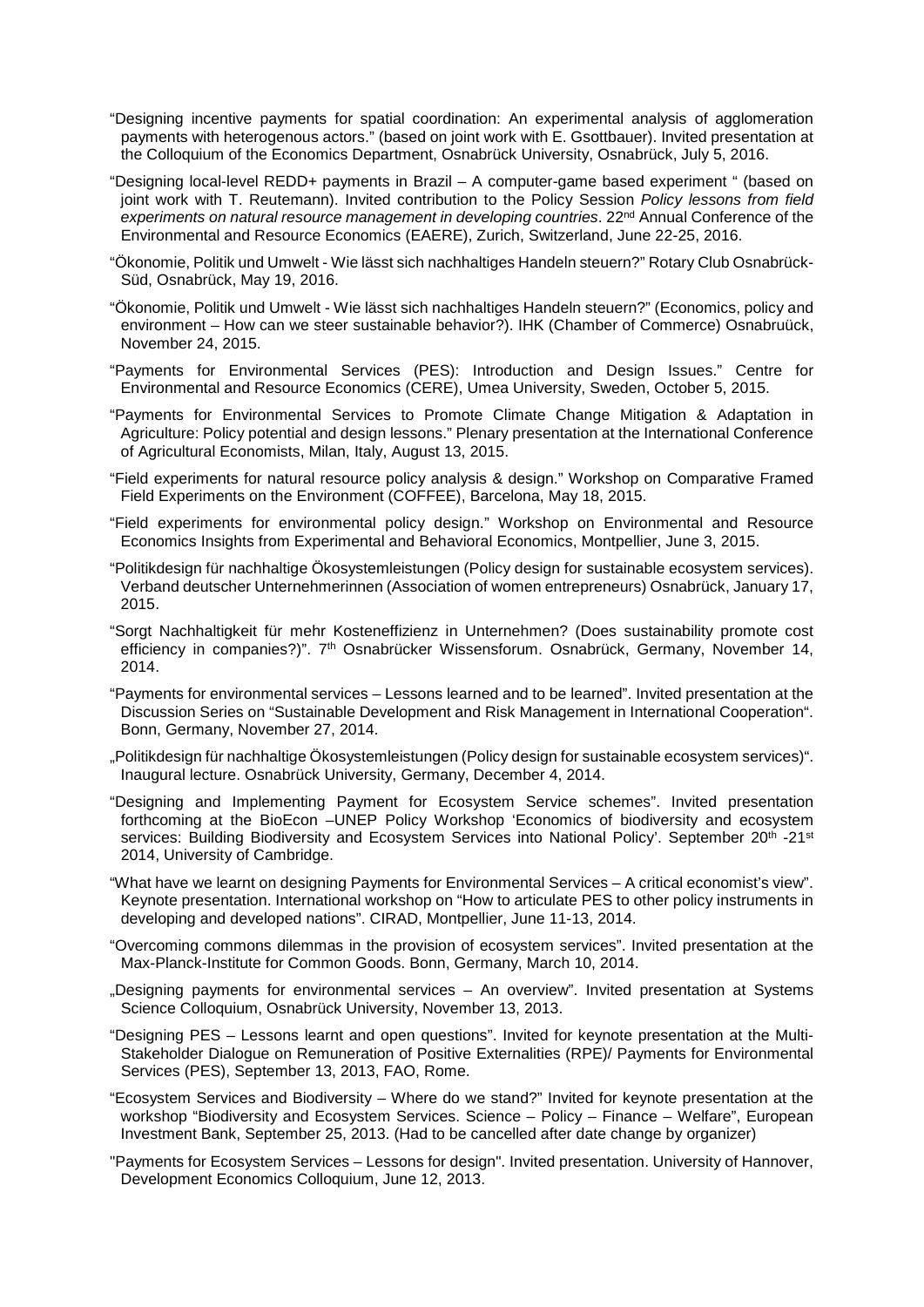- "Designing incentive payments for spatial coordination: An experimental analysis of agglomeration payments with heterogenous actors." (based on joint work with E. Gsottbauer). Invited presentation at the Colloquium of the Economics Department, Osnabrück University, Osnabrück, July 5, 2016.
- "Designing local-level REDD+ payments in Brazil A computer-game based experiment " (based on joint work with T. Reutemann). Invited contribution to the Policy Session *Policy lessons from field experiments on natural resource management in developing countries*. 22nd Annual Conference of the Environmental and Resource Economics (EAERE), Zurich, Switzerland, June 22-25, 2016.
- "Ökonomie, Politik und Umwelt Wie lässt sich nachhaltiges Handeln steuern?" Rotary Club Osnabrück-Süd, Osnabrück, May 19, 2016.
- "Ökonomie, Politik und Umwelt Wie lässt sich nachhaltiges Handeln steuern?" (Economics, policy and environment – How can we steer sustainable behavior?). IHK (Chamber of Commerce) Osnabruück, November 24, 2015.
- "Payments for Environmental Services (PES): Introduction and Design Issues." Centre for Environmental and Resource Economics (CERE), Umea University, Sweden, October 5, 2015.
- "Payments for Environmental Services to Promote Climate Change Mitigation & Adaptation in Agriculture: Policy potential and design lessons." Plenary presentation at the International Conference of Agricultural Economists, Milan, Italy, August 13, 2015.
- "Field experiments for natural resource policy analysis & design." Workshop on Comparative Framed Field Experiments on the Environment (COFFEE), Barcelona, May 18, 2015.
- "Field experiments for environmental policy design." Workshop on Environmental and Resource Economics Insights from Experimental and Behavioral Economics, Montpellier, June 3, 2015.
- "Politikdesign für nachhaltige Ökosystemleistungen (Policy design for sustainable ecosystem services). Verband deutscher Unternehmerinnen (Association of women entrepreneurs) Osnabrück, January 17, 2015.
- "Sorgt Nachhaltigkeit für mehr Kosteneffizienz in Unternehmen? (Does sustainability promote cost efficiency in companies?)". 7th Osnabrücker Wissensforum. Osnabrück, Germany, November 14, 2014.
- "Payments for environmental services Lessons learned and to be learned". Invited presentation at the Discussion Series on "Sustainable Development and Risk Management in International Cooperation". Bonn, Germany, November 27, 2014.
- "Politikdesign für nachhaltige Ökosystemleistungen (Policy design for sustainable ecosystem services)". Inaugural lecture. Osnabrück University, Germany, December 4, 2014.
- "Designing and Implementing Payment for Ecosystem Service schemes". Invited presentation forthcoming at the BioEcon –UNEP Policy Workshop 'Economics of biodiversity and ecosystem services: Building Biodiversity and Ecosystem Services into National Policy'. September 20<sup>th</sup> -21<sup>st</sup> 2014, University of Cambridge.
- "What have we learnt on designing Payments for Environmental Services A critical economist's view". Keynote presentation. International workshop on "How to articulate PES to other policy instruments in developing and developed nations". CIRAD, Montpellier, June 11-13, 2014.
- "Overcoming commons dilemmas in the provision of ecosystem services". Invited presentation at the Max-Planck-Institute for Common Goods. Bonn, Germany, March 10, 2014.
- "Designing payments for environmental services An overview". Invited presentation at Systems Science Colloquium, Osnabrück University, November 13, 2013.
- "Designing PES Lessons learnt and open questions". Invited for keynote presentation at the Multi-Stakeholder Dialogue on Remuneration of Positive Externalities (RPE)/ Payments for Environmental Services (PES), September 13, 2013, FAO, Rome.
- "Ecosystem Services and Biodiversity Where do we stand?" Invited for keynote presentation at the workshop "Biodiversity and Ecosystem Services. Science – Policy – Finance – Welfare", European Investment Bank, September 25, 2013. (Had to be cancelled after date change by organizer)
- "Payments for Ecosystem Services Lessons for design". Invited presentation. University of Hannover, Development Economics Colloquium, June 12, 2013.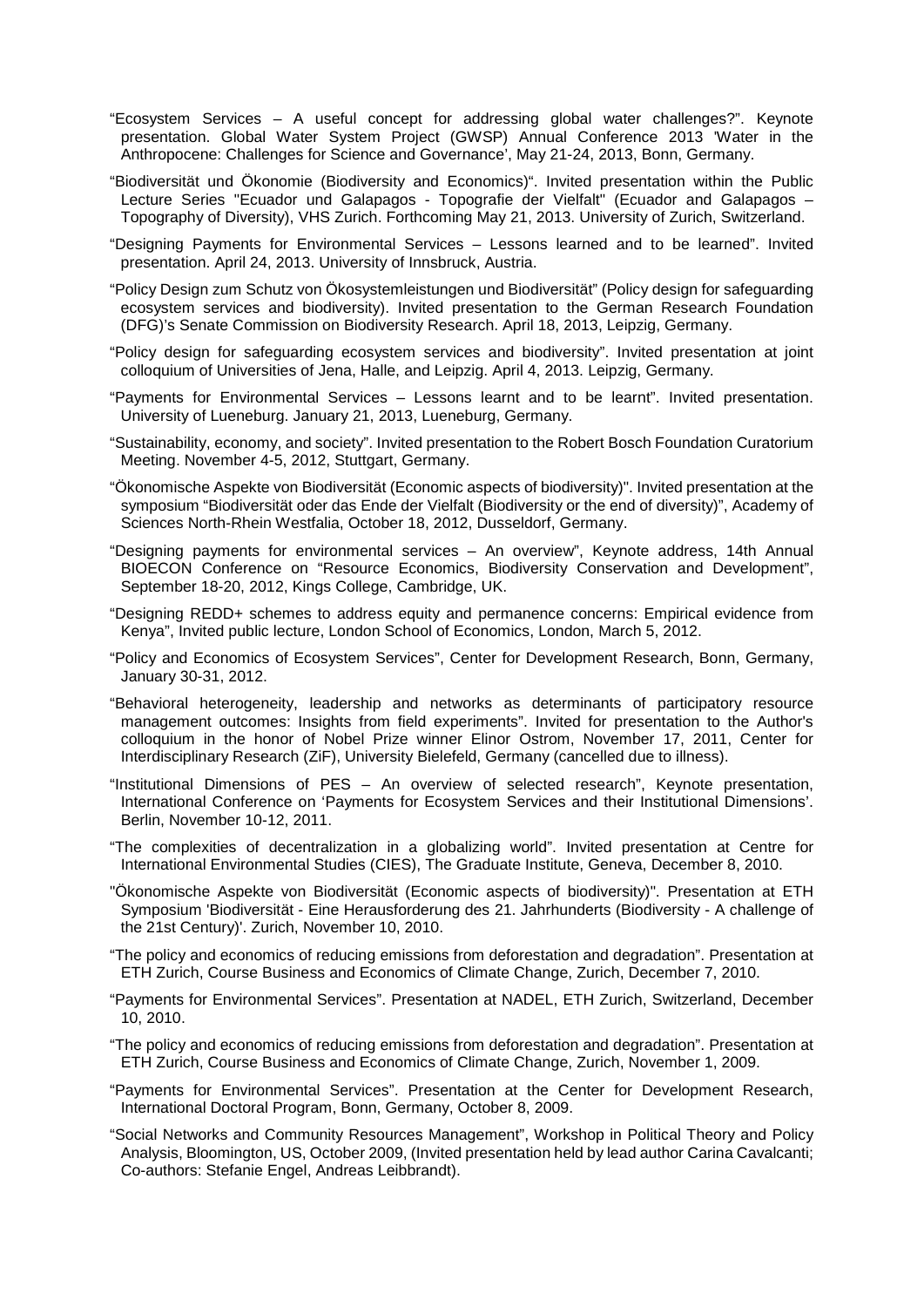- "Ecosystem Services A useful concept for addressing global water challenges?". Keynote presentation. Global Water System Project (GWSP) Annual Conference 2013 'Water in the Anthropocene: Challenges for Science and Governance', May 21-24, 2013, Bonn, Germany.
- "Biodiversität und Ökonomie (Biodiversity and Economics)". Invited presentation within the Public Lecture Series "Ecuador und Galapagos - Topografie der Vielfalt" (Ecuador and Galapagos -Topography of Diversity), VHS Zurich. Forthcoming May 21, 2013. University of Zurich, Switzerland.
- "Designing Payments for Environmental Services Lessons learned and to be learned". Invited presentation. April 24, 2013. University of Innsbruck, Austria.
- "Policy Design zum Schutz von Ökosystemleistungen und Biodiversität" (Policy design for safeguarding ecosystem services and biodiversity). Invited presentation to the German Research Foundation (DFG)'s Senate Commission on Biodiversity Research. April 18, 2013, Leipzig, Germany.
- "Policy design for safeguarding ecosystem services and biodiversity". Invited presentation at joint colloquium of Universities of Jena, Halle, and Leipzig. April 4, 2013. Leipzig, Germany.
- "Payments for Environmental Services Lessons learnt and to be learnt". Invited presentation. University of Lueneburg. January 21, 2013, Lueneburg, Germany.
- "Sustainability, economy, and society". Invited presentation to the Robert Bosch Foundation Curatorium Meeting. November 4-5, 2012, Stuttgart, Germany.
- "Ökonomische Aspekte von Biodiversität (Economic aspects of biodiversity)". Invited presentation at the symposium "Biodiversität oder das Ende der Vielfalt (Biodiversity or the end of diversity)", Academy of Sciences North-Rhein Westfalia, October 18, 2012, Dusseldorf, Germany.
- "Designing payments for environmental services An overview", Keynote address, 14th Annual BIOECON Conference on "Resource Economics, Biodiversity Conservation and Development", September 18-20, 2012, Kings College, Cambridge, UK.
- "Designing REDD+ schemes to address equity and permanence concerns: Empirical evidence from Kenya", Invited public lecture, London School of Economics, London, March 5, 2012.
- "Policy and Economics of Ecosystem Services", Center for Development Research, Bonn, Germany, January 30-31, 2012.
- "Behavioral heterogeneity, leadership and networks as determinants of participatory resource management outcomes: Insights from field experiments". Invited for presentation to the Author's colloquium in the honor of Nobel Prize winner Elinor Ostrom, November 17, 2011, Center for Interdisciplinary Research (ZiF), University Bielefeld, Germany (cancelled due to illness).
- "Institutional Dimensions of PES An overview of selected research", Keynote presentation, International Conference on 'Payments for Ecosystem Services and their Institutional Dimensions'. Berlin, November 10-12, 2011.
- "The complexities of decentralization in a globalizing world". Invited presentation at Centre for International Environmental Studies (CIES), The Graduate Institute, Geneva, December 8, 2010.
- "Ökonomische Aspekte von Biodiversität (Economic aspects of biodiversity)". Presentation at ETH Symposium 'Biodiversität - Eine Herausforderung des 21. Jahrhunderts (Biodiversity - A challenge of the 21st Century)'. Zurich, November 10, 2010.
- "The policy and economics of reducing emissions from deforestation and degradation". Presentation at ETH Zurich, Course Business and Economics of Climate Change, Zurich, December 7, 2010.
- "Payments for Environmental Services". Presentation at NADEL, ETH Zurich, Switzerland, December 10, 2010.
- "The policy and economics of reducing emissions from deforestation and degradation". Presentation at ETH Zurich, Course Business and Economics of Climate Change, Zurich, November 1, 2009.
- "Payments for Environmental Services". Presentation at the Center for Development Research, International Doctoral Program, Bonn, Germany, October 8, 2009.
- "Social Networks and Community Resources Management", Workshop in Political Theory and Policy Analysis, Bloomington, US, October 2009, (Invited presentation held by lead author Carina Cavalcanti; Co-authors: Stefanie Engel, Andreas Leibbrandt).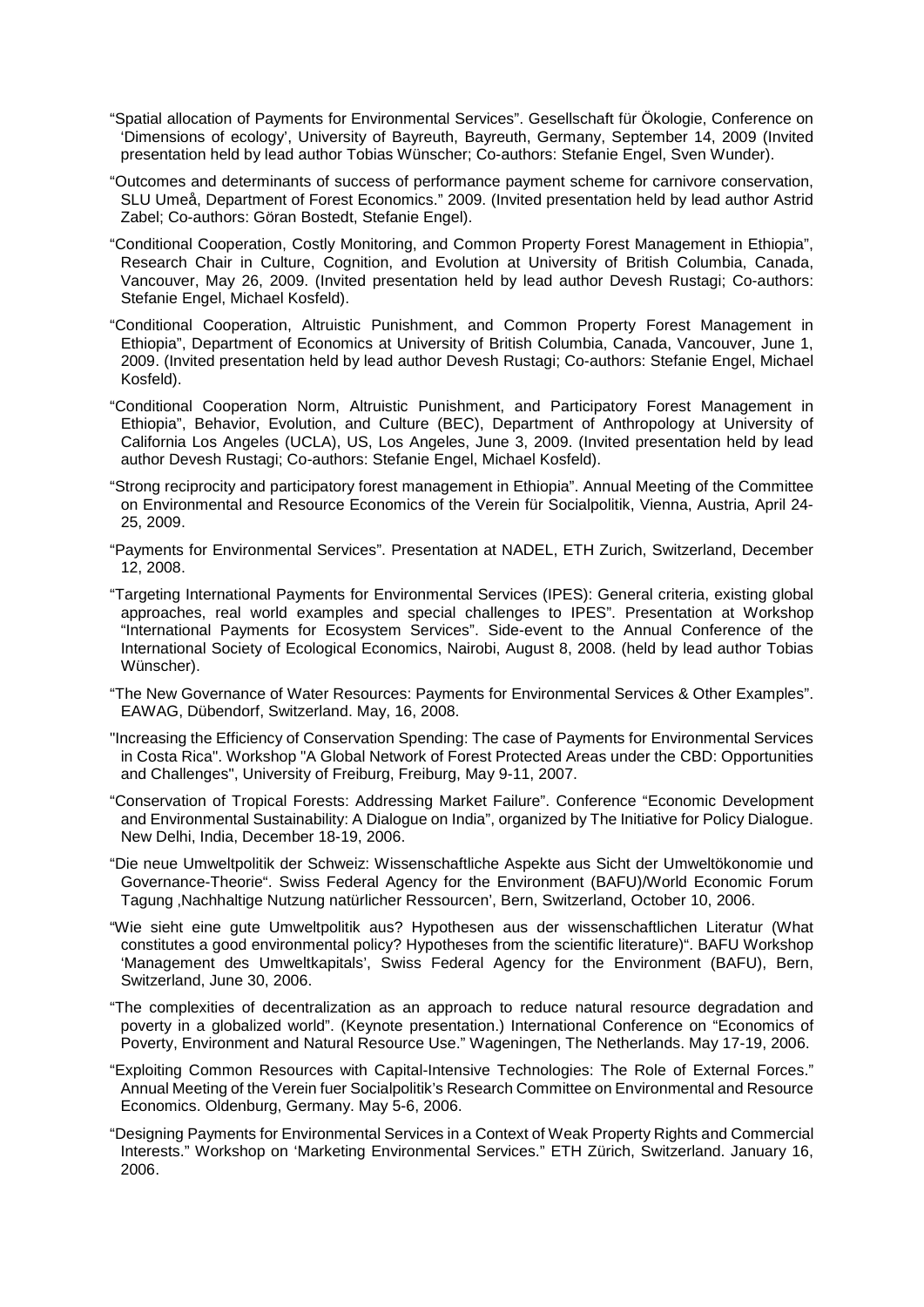- "Spatial allocation of Payments for Environmental Services". Gesellschaft für Ökologie, Conference on 'Dimensions of ecology', University of Bayreuth, Bayreuth, Germany, September 14, 2009 (Invited presentation held by lead author Tobias Wünscher; Co-authors: Stefanie Engel, Sven Wunder).
- "Outcomes and determinants of success of performance payment scheme for carnivore conservation, SLU Umeå, Department of Forest Economics." 2009. (Invited presentation held by lead author Astrid Zabel; Co-authors: Göran Bostedt, Stefanie Engel).
- "Conditional Cooperation, Costly Monitoring, and Common Property Forest Management in Ethiopia", Research Chair in Culture, Cognition, and Evolution at University of British Columbia, Canada, Vancouver, May 26, 2009. (Invited presentation held by lead author Devesh Rustagi; Co-authors: Stefanie Engel, Michael Kosfeld).
- "Conditional Cooperation, Altruistic Punishment, and Common Property Forest Management in Ethiopia", Department of Economics at University of British Columbia, Canada, Vancouver, June 1, 2009. (Invited presentation held by lead author Devesh Rustagi; Co-authors: Stefanie Engel, Michael Kosfeld).
- "Conditional Cooperation Norm, Altruistic Punishment, and Participatory Forest Management in Ethiopia", Behavior, Evolution, and Culture (BEC), Department of Anthropology at University of California Los Angeles (UCLA), US, Los Angeles, June 3, 2009. (Invited presentation held by lead author Devesh Rustagi; Co-authors: Stefanie Engel, Michael Kosfeld).
- "Strong reciprocity and participatory forest management in Ethiopia". Annual Meeting of the Committee on Environmental and Resource Economics of the Verein für Socialpolitik, Vienna, Austria, April 24- 25, 2009.
- "Payments for Environmental Services". Presentation at NADEL, ETH Zurich, Switzerland, December 12, 2008.
- "Targeting International Payments for Environmental Services (IPES): General criteria, existing global approaches, real world examples and special challenges to IPES". Presentation at Workshop "International Payments for Ecosystem Services". Side-event to the Annual Conference of the International Society of Ecological Economics, Nairobi, August 8, 2008. (held by lead author Tobias Wünscher).
- "The New Governance of Water Resources: Payments for Environmental Services & Other Examples". EAWAG, Dübendorf, Switzerland. May, 16, 2008.
- "Increasing the Efficiency of Conservation Spending: The case of Payments for Environmental Services in Costa Rica". Workshop "A Global Network of Forest Protected Areas under the CBD: Opportunities and Challenges", University of Freiburg, Freiburg, May 9-11, 2007.
- "Conservation of Tropical Forests: Addressing Market Failure". Conference "Economic Development and Environmental Sustainability: A Dialogue on India", organized by The Initiative for Policy Dialogue. New Delhi, India, December 18-19, 2006.
- "Die neue Umweltpolitik der Schweiz: Wissenschaftliche Aspekte aus Sicht der Umweltökonomie und Governance-Theorie". Swiss Federal Agency for the Environment (BAFU)/World Economic Forum Tagung 'Nachhaltige Nutzung natürlicher Ressourcen', Bern, Switzerland, October 10, 2006.
- "Wie sieht eine gute Umweltpolitik aus? Hypothesen aus der wissenschaftlichen Literatur (What constitutes a good environmental policy? Hypotheses from the scientific literature)". BAFU Workshop 'Management des Umweltkapitals', Swiss Federal Agency for the Environment (BAFU), Bern, Switzerland, June 30, 2006.
- "The complexities of decentralization as an approach to reduce natural resource degradation and poverty in a globalized world". (Keynote presentation.) International Conference on "Economics of Poverty, Environment and Natural Resource Use." Wageningen, The Netherlands. May 17-19, 2006.
- "Exploiting Common Resources with Capital-Intensive Technologies: The Role of External Forces." Annual Meeting of the Verein fuer Socialpolitik's Research Committee on Environmental and Resource Economics. Oldenburg, Germany. May 5-6, 2006.
- "Designing Payments for Environmental Services in a Context of Weak Property Rights and Commercial Interests." Workshop on 'Marketing Environmental Services." ETH Zürich, Switzerland. January 16, 2006.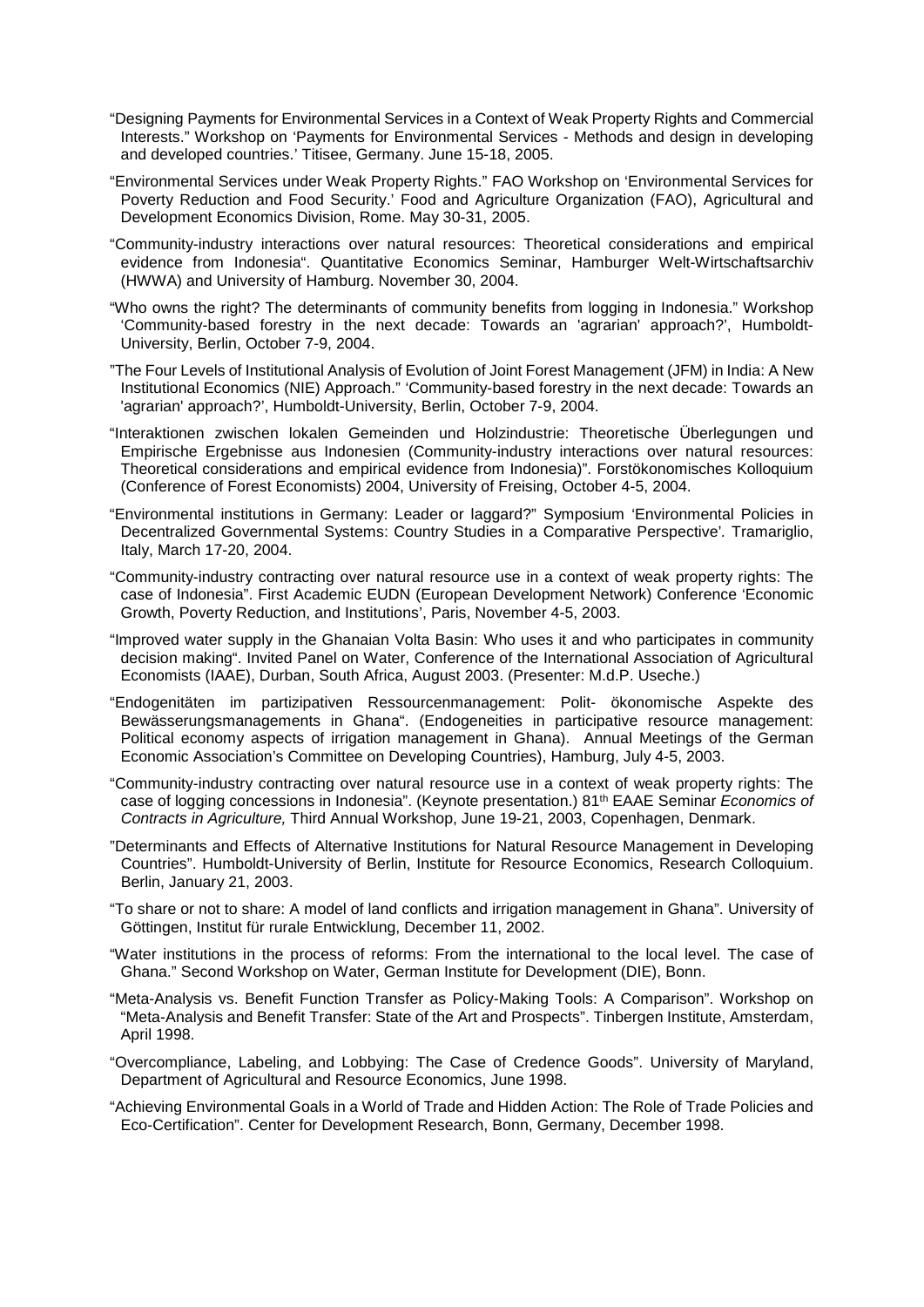- "Designing Payments for Environmental Services in a Context of Weak Property Rights and Commercial Interests." Workshop on 'Payments for Environmental Services - Methods and design in developing and developed countries.' Titisee, Germany. June 15-18, 2005.
- "Environmental Services under Weak Property Rights." FAO Workshop on 'Environmental Services for Poverty Reduction and Food Security.' Food and Agriculture Organization (FAO), Agricultural and Development Economics Division, Rome. May 30-31, 2005.
- "Community-industry interactions over natural resources: Theoretical considerations and empirical evidence from Indonesia". Quantitative Economics Seminar, Hamburger Welt-Wirtschaftsarchiv (HWWA) and University of Hamburg. November 30, 2004.
- "Who owns the right? The determinants of community benefits from logging in Indonesia." Workshop 'Community-based forestry in the next decade: Towards an 'agrarian' approach?', Humboldt-University, Berlin, October 7-9, 2004.
- "The Four Levels of Institutional Analysis of Evolution of Joint Forest Management (JFM) in India: A New Institutional Economics (NIE) Approach." 'Community-based forestry in the next decade: Towards an 'agrarian' approach?', Humboldt-University, Berlin, October 7-9, 2004.
- "Interaktionen zwischen lokalen Gemeinden und Holzindustrie: Theoretische Überlegungen und Empirische Ergebnisse aus Indonesien (Community-industry interactions over natural resources: Theoretical considerations and empirical evidence from Indonesia)". Forstökonomisches Kolloquium (Conference of Forest Economists) 2004, University of Freising, October 4-5, 2004.
- "Environmental institutions in Germany: Leader or laggard?" Symposium 'Environmental Policies in Decentralized Governmental Systems: Country Studies in a Comparative Perspective'*.* Tramariglio, Italy, March 17-20, 2004.
- "Community-industry contracting over natural resource use in a context of weak property rights: The case of Indonesia". First Academic EUDN (European Development Network) Conference 'Economic Growth, Poverty Reduction, and Institutions', Paris, November 4-5, 2003.
- "Improved water supply in the Ghanaian Volta Basin: Who uses it and who participates in community decision making". Invited Panel on Water, Conference of the International Association of Agricultural Economists (IAAE), Durban, South Africa, August 2003. (Presenter: M.d.P. Useche.)
- "Endogenitäten im partizipativen Ressourcenmanagement: Polit- ökonomische Aspekte des Bewässerungsmanagements in Ghana". (Endogeneities in participative resource management: Political economy aspects of irrigation management in Ghana). Annual Meetings of the German Economic Association's Committee on Developing Countries), Hamburg, July 4-5, 2003.
- "Community-industry contracting over natural resource use in a context of weak property rights: The case of logging concessions in Indonesia". (Keynote presentation.) 81th EAAE Seminar *Economics of Contracts in Agriculture,* Third Annual Workshop, June 19-21, 2003, Copenhagen, Denmark.
- "Determinants and Effects of Alternative Institutions for Natural Resource Management in Developing Countries". Humboldt-University of Berlin, Institute for Resource Economics, Research Colloquium. Berlin, January 21, 2003.
- "To share or not to share: A model of land conflicts and irrigation management in Ghana". University of Göttingen, Institut für rurale Entwicklung, December 11, 2002.
- "Water institutions in the process of reforms: From the international to the local level. The case of Ghana." Second Workshop on Water, German Institute for Development (DIE), Bonn.
- "Meta-Analysis vs. Benefit Function Transfer as Policy-Making Tools: A Comparison". Workshop on "Meta-Analysis and Benefit Transfer: State of the Art and Prospects". Tinbergen Institute, Amsterdam, April 1998.
- "Overcompliance, Labeling, and Lobbying: The Case of Credence Goods". University of Maryland, Department of Agricultural and Resource Economics, June 1998.
- "Achieving Environmental Goals in a World of Trade and Hidden Action: The Role of Trade Policies and Eco-Certification". Center for Development Research, Bonn, Germany, December 1998.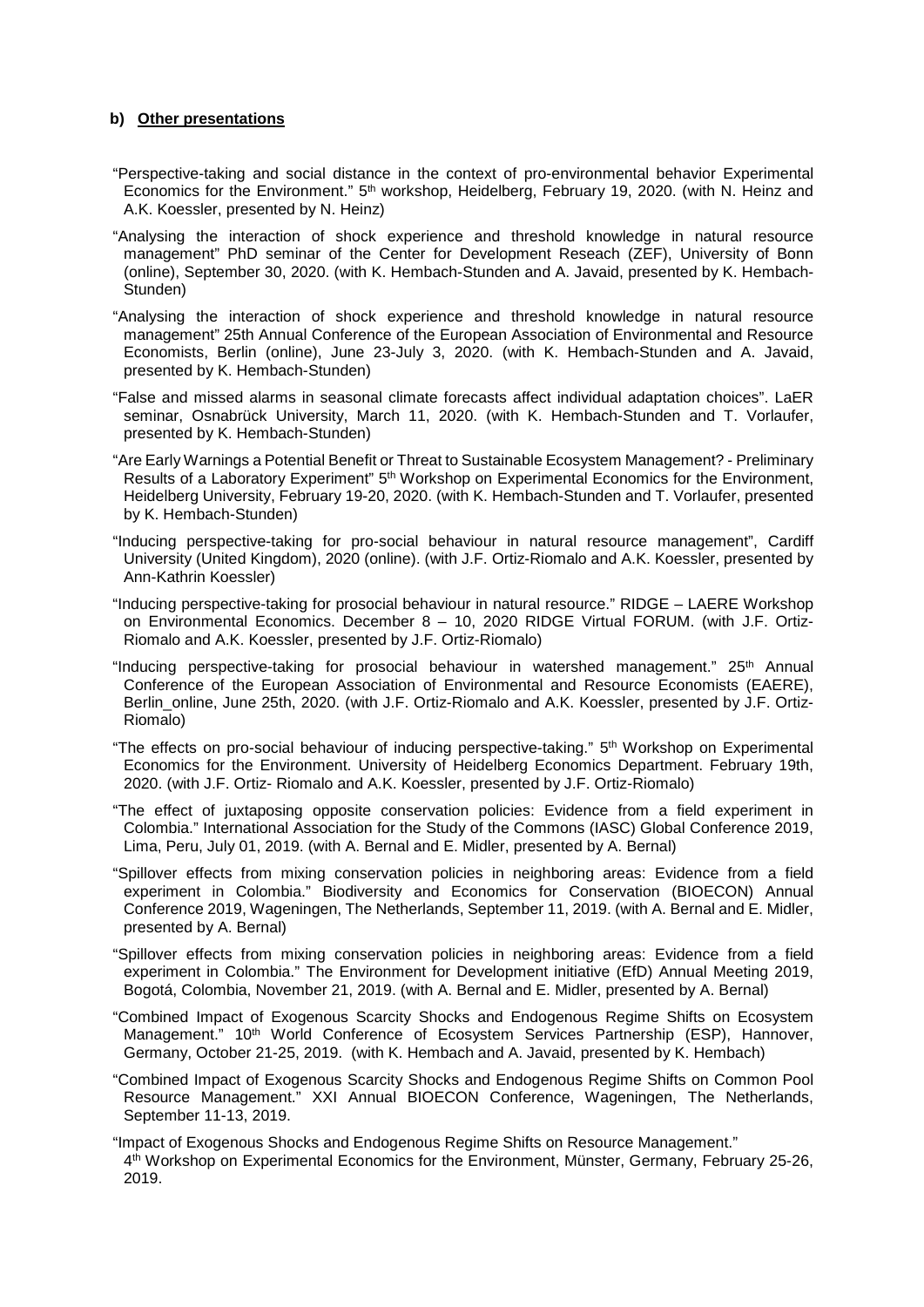## **b) Other presentations**

- "Perspective-taking and social distance in the context of pro-environmental behavior Experimental Economics for the Environment." 5<sup>th</sup> workshop, Heidelberg, February 19, 2020. (with N. Heinz and A.K. Koessler, presented by N. Heinz)
- "Analysing the interaction of shock experience and threshold knowledge in natural resource management" PhD seminar of the Center for Development Reseach (ZEF), University of Bonn (online), September 30, 2020. (with K. Hembach-Stunden and A. Javaid, presented by K. Hembach-Stunden)
- "Analysing the interaction of shock experience and threshold knowledge in natural resource management" 25th Annual Conference of the European Association of Environmental and Resource Economists, Berlin (online), June 23-July 3, 2020. (with K. Hembach-Stunden and A. Javaid, presented by K. Hembach-Stunden)
- "False and missed alarms in seasonal climate forecasts affect individual adaptation choices". LaER seminar, Osnabrück University, March 11, 2020. (with K. Hembach-Stunden and T. Vorlaufer, presented by K. Hembach-Stunden)
- "Are Early Warnings a Potential Benefit or Threat to Sustainable Ecosystem Management? Preliminary Results of a Laboratory Experiment" 5<sup>th</sup> Workshop on Experimental Economics for the Environment, Heidelberg University, February 19-20, 2020. (with K. Hembach-Stunden and T. Vorlaufer, presented by K. Hembach-Stunden)
- "Inducing perspective-taking for pro-social behaviour in natural resource management", Cardiff University (United Kingdom), 2020 (online). (with J.F. Ortiz-Riomalo and A.K. Koessler, presented by Ann-Kathrin Koessler)
- "Inducing perspective-taking for prosocial behaviour in natural resource." RIDGE LAERE Workshop on Environmental Economics. December 8 – 10, 2020 RIDGE Virtual FORUM. (with J.F. Ortiz-Riomalo and A.K. Koessler, presented by J.F. Ortiz-Riomalo)
- "Inducing perspective-taking for prosocial behaviour in watershed management."  $25<sup>th</sup>$  Annual Conference of the European Association of Environmental and Resource Economists (EAERE), Berlin\_online, June 25th, 2020. (with J.F. Ortiz-Riomalo and A.K. Koessler, presented by J.F. Ortiz-Riomalo)
- "The effects on pro-social behaviour of inducing perspective-taking." 5<sup>th</sup> Workshop on Experimental Economics for the Environment. University of Heidelberg Economics Department. February 19th, 2020. (with J.F. Ortiz- Riomalo and A.K. Koessler, presented by J.F. Ortiz-Riomalo)
- "The effect of juxtaposing opposite conservation policies: Evidence from a field experiment in Colombia." International Association for the Study of the Commons (IASC) Global Conference 2019, Lima, Peru, July 01, 2019. (with A. Bernal and E. Midler, presented by A. Bernal)
- "Spillover effects from mixing conservation policies in neighboring areas: Evidence from a field experiment in Colombia." Biodiversity and Economics for Conservation (BIOECON) Annual Conference 2019, Wageningen, The Netherlands, September 11, 2019. (with A. Bernal and E. Midler, presented by A. Bernal)
- "Spillover effects from mixing conservation policies in neighboring areas: Evidence from a field experiment in Colombia." The Environment for Development initiative (EfD) Annual Meeting 2019, Bogotá, Colombia, November 21, 2019. (with A. Bernal and E. Midler, presented by A. Bernal)
- "Combined Impact of Exogenous Scarcity Shocks and Endogenous Regime Shifts on Ecosystem Management." 10th World Conference of Ecosystem Services Partnership (ESP), Hannover, Germany, October 21-25, 2019. (with K. Hembach and A. Javaid, presented by K. Hembach)
- "Combined Impact of Exogenous Scarcity Shocks and Endogenous Regime Shifts on Common Pool Resource Management." XXI Annual BIOECON Conference, Wageningen, The Netherlands, September 11-13, 2019.
- "Impact of Exogenous Shocks and Endogenous Regime Shifts on Resource Management." 4th Workshop on Experimental Economics for the Environment, Münster, Germany, February 25-26, 2019.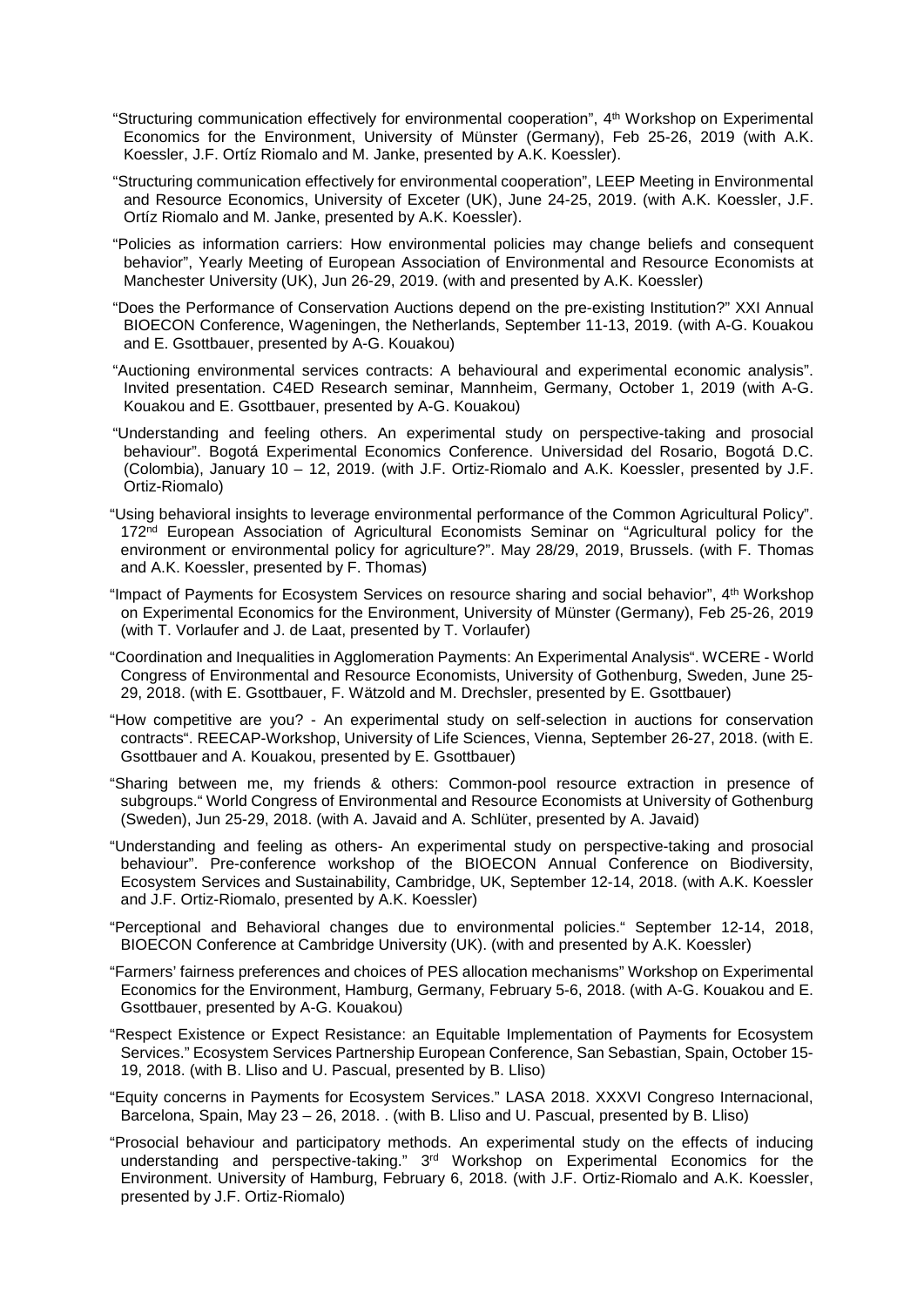- "Structuring communication effectively for environmental cooperation", 4<sup>th</sup> Workshop on Experimental Economics for the Environment, University of Münster (Germany), Feb 25-26, 2019 (with A.K. Koessler, J.F. Ortíz Riomalo and M. Janke, presented by A.K. Koessler).
- "Structuring communication effectively for environmental cooperation", LEEP Meeting in Environmental and Resource Economics, University of Exceter (UK), June 24-25, 2019. (with A.K. Koessler, J.F. Ortíz Riomalo and M. Janke, presented by A.K. Koessler).
- "Policies as information carriers: How environmental policies may change beliefs and consequent behavior", Yearly Meeting of European Association of Environmental and Resource Economists at Manchester University (UK), Jun 26-29, 2019. (with and presented by A.K. Koessler)
- "Does the Performance of Conservation Auctions depend on the pre-existing Institution?" XXI Annual BIOECON Conference, Wageningen, the Netherlands, September 11-13, 2019. (with A-G. Kouakou and E. Gsottbauer, presented by A-G. Kouakou)
- "Auctioning environmental services contracts: A behavioural and experimental economic analysis". Invited presentation. C4ED Research seminar, Mannheim, Germany, October 1, 2019 (with A-G. Kouakou and E. Gsottbauer, presented by A-G. Kouakou)
- "Understanding and feeling others. An experimental study on perspective-taking and prosocial behaviour". Bogotá Experimental Economics Conference. Universidad del Rosario, Bogotá D.C. (Colombia), January 10 – 12, 2019. (with J.F. Ortiz-Riomalo and A.K. Koessler, presented by J.F. Ortiz-Riomalo)
- "Using behavioral insights to leverage environmental performance of the Common Agricultural Policy". 172<sup>nd</sup> European Association of Agricultural Economists Seminar on "Agricultural policy for the environment or environmental policy for agriculture?". May 28/29, 2019, Brussels. (with F. Thomas and A.K. Koessler, presented by F. Thomas)
- "Impact of Payments for Ecosystem Services on resource sharing and social behavior", 4<sup>th</sup> Workshop on Experimental Economics for the Environment, University of Münster (Germany), Feb 25-26, 2019 (with T. Vorlaufer and J. de Laat, presented by T. Vorlaufer)
- "Coordination and Inequalities in Agglomeration Payments: An Experimental Analysis". WCERE World Congress of Environmental and Resource Economists, University of Gothenburg, Sweden, June 25- 29, 2018. (with E. Gsottbauer, F. Wätzold and M. Drechsler, presented by E. Gsottbauer)
- "How competitive are you? An experimental study on self-selection in auctions for conservation contracts". REECAP-Workshop, University of Life Sciences, Vienna, September 26-27, 2018. (with E. Gsottbauer and A. Kouakou, presented by E. Gsottbauer)
- "Sharing between me, my friends & others: Common-pool resource extraction in presence of subgroups." World Congress of Environmental and Resource Economists at University of Gothenburg (Sweden), Jun 25-29, 2018. (with A. Javaid and A. Schlüter, presented by A. Javaid)
- "Understanding and feeling as others- An experimental study on perspective-taking and prosocial behaviour". Pre-conference workshop of the BIOECON Annual Conference on Biodiversity, Ecosystem Services and Sustainability, Cambridge, UK, September 12-14, 2018. (with A.K. Koessler and J.F. Ortiz-Riomalo, presented by A.K. Koessler)
- "Perceptional and Behavioral changes due to environmental policies." September 12-14, 2018, BIOECON Conference at Cambridge University (UK). (with and presented by A.K. Koessler)
- "Farmers' fairness preferences and choices of PES allocation mechanisms" Workshop on Experimental Economics for the Environment, Hamburg, Germany, February 5-6, 2018. (with A-G. Kouakou and E. Gsottbauer, presented by A-G. Kouakou)
- "Respect Existence or Expect Resistance: an Equitable Implementation of Payments for Ecosystem Services." Ecosystem Services Partnership European Conference, San Sebastian, Spain, October 15- 19, 2018. (with B. Lliso and U. Pascual, presented by B. Lliso)
- "Equity concerns in Payments for Ecosystem Services." LASA 2018. XXXVI Congreso Internacional, Barcelona, Spain, May 23 – 26, 2018. . (with B. Lliso and U. Pascual, presented by B. Lliso)
- "Prosocial behaviour and participatory methods. An experimental study on the effects of inducing understanding and perspective-taking." 3rd Workshop on Experimental Economics for the Environment. University of Hamburg, February 6, 2018. (with J.F. Ortiz-Riomalo and A.K. Koessler, presented by J.F. Ortiz-Riomalo)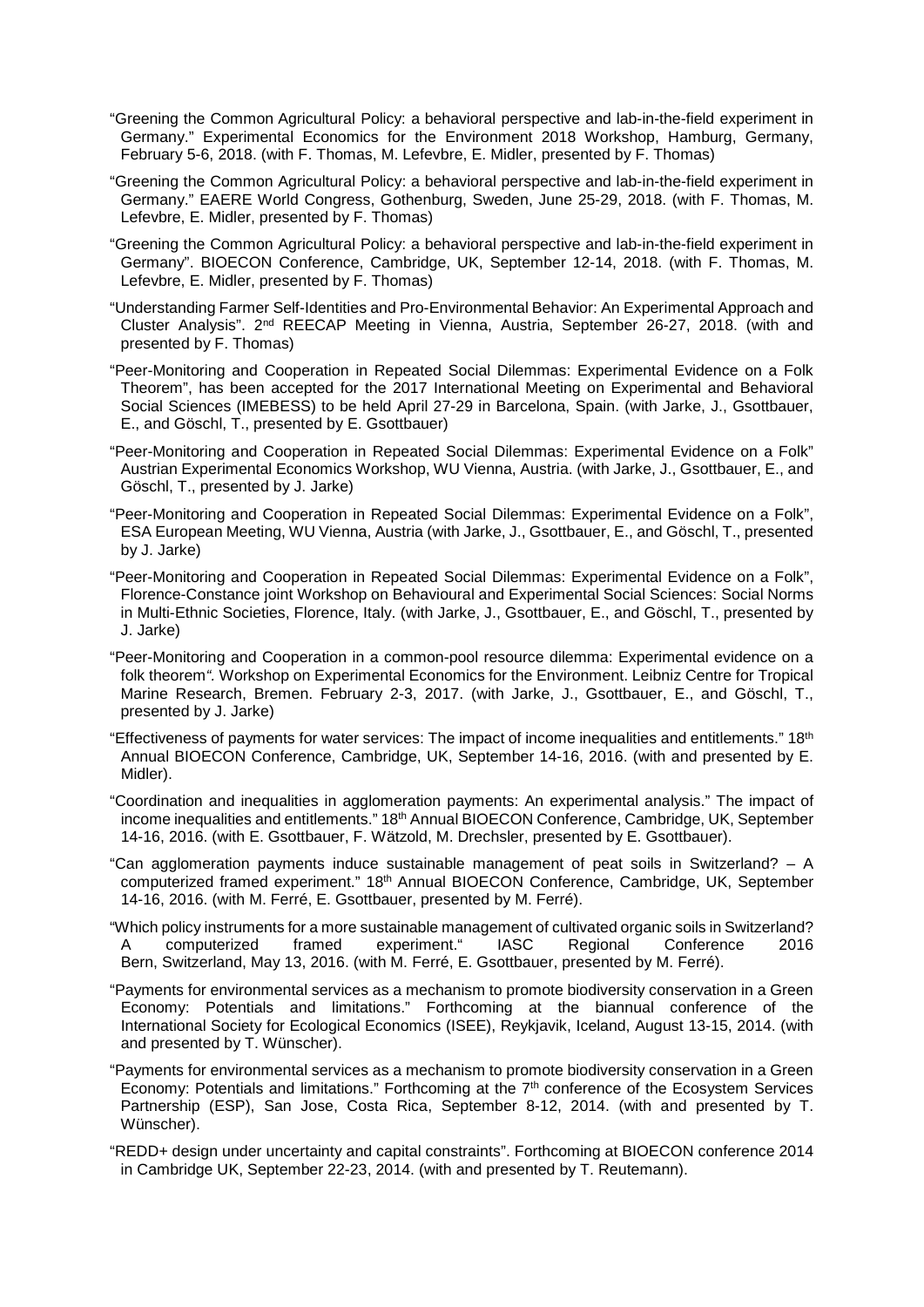- "Greening the Common Agricultural Policy: a behavioral perspective and lab-in-the-field experiment in Germany." Experimental Economics for the Environment 2018 Workshop, Hamburg, Germany, February 5-6, 2018. (with F. Thomas, M. Lefevbre, E. Midler, presented by F. Thomas)
- "Greening the Common Agricultural Policy: a behavioral perspective and lab-in-the-field experiment in Germany." EAERE World Congress, Gothenburg, Sweden, June 25-29, 2018. (with F. Thomas, M. Lefevbre, E. Midler, presented by F. Thomas)
- "Greening the Common Agricultural Policy: a behavioral perspective and lab-in-the-field experiment in Germany". BIOECON Conference, Cambridge, UK, September 12-14, 2018. (with F. Thomas, M. Lefevbre, E. Midler, presented by F. Thomas)
- "Understanding Farmer Self-Identities and Pro-Environmental Behavior: An Experimental Approach and Cluster Analysis". 2nd REECAP Meeting in Vienna, Austria, September 26-27, 2018. (with and presented by F. Thomas)
- "Peer-Monitoring and Cooperation in Repeated Social Dilemmas: Experimental Evidence on a Folk Theorem", has been accepted for the 2017 International Meeting on Experimental and Behavioral Social Sciences (IMEBESS) to be held April 27-29 in Barcelona, Spain. (with Jarke, J., Gsottbauer, E., and Göschl, T., presented by E. Gsottbauer)
- "Peer-Monitoring and Cooperation in Repeated Social Dilemmas: Experimental Evidence on a Folk" Austrian Experimental Economics Workshop, WU Vienna, Austria. (with Jarke, J., Gsottbauer, E., and Göschl, T., presented by J. Jarke)
- "Peer-Monitoring and Cooperation in Repeated Social Dilemmas: Experimental Evidence on a Folk", ESA European Meeting, WU Vienna, Austria (with Jarke, J., Gsottbauer, E., and Göschl, T., presented by J. Jarke)
- "Peer-Monitoring and Cooperation in Repeated Social Dilemmas: Experimental Evidence on a Folk", Florence-Constance joint Workshop on Behavioural and Experimental Social Sciences: Social Norms in Multi-Ethnic Societies, Florence, Italy. (with Jarke, J., Gsottbauer, E., and Göschl, T., presented by J. Jarke)
- "Peer-Monitoring and Cooperation in a common-pool resource dilemma: Experimental evidence on a folk theorem*".* Workshop on Experimental Economics for the Environment. Leibniz Centre for Tropical Marine Research, Bremen. February 2-3, 2017. (with Jarke, J., Gsottbauer, E., and Göschl, T., presented by J. Jarke)
- "Effectiveness of payments for water services: The impact of income inequalities and entitlements." 18<sup>th</sup> Annual BIOECON Conference, Cambridge, UK, September 14-16, 2016. (with and presented by E. Midler).
- "Coordination and inequalities in agglomeration payments: An experimental analysis." The impact of income inequalities and entitlements." 18<sup>th</sup> Annual BIOECON Conference, Cambridge, UK, September 14-16, 2016. (with E. Gsottbauer, F. Wätzold, M. Drechsler, presented by E. Gsottbauer).
- "Can agglomeration payments induce sustainable management of peat soils in Switzerland? A computerized framed experiment." 18<sup>th</sup> Annual BIOECON Conference, Cambridge, UK, September 14-16, 2016. (with M. Ferré, E. Gsottbauer, presented by M. Ferré).
- "Which policy instruments for a more sustainable management of cultivated organic soils in Switzerland? A computerized framed experiment." IASC Regional Conference 2016 Bern, Switzerland, May 13, 2016. (with M. Ferré, E. Gsottbauer, presented by M. Ferré).
- "Payments for environmental services as a mechanism to promote biodiversity conservation in a Green Economy: Potentials and limitations." Forthcoming at the biannual conference of the International Society for Ecological Economics (ISEE), Reykjavik, Iceland, August 13-15, 2014. (with and presented by T. Wünscher).
- "Payments for environmental services as a mechanism to promote biodiversity conservation in a Green Economy: Potentials and limitations." Forthcoming at the 7<sup>th</sup> conference of the Ecosystem Services Partnership (ESP), San Jose, Costa Rica, September 8-12, 2014. (with and presented by T. Wünscher).
- "REDD+ design under uncertainty and capital constraints". Forthcoming at BIOECON conference 2014 in Cambridge UK, September 22-23, 2014. (with and presented by T. Reutemann).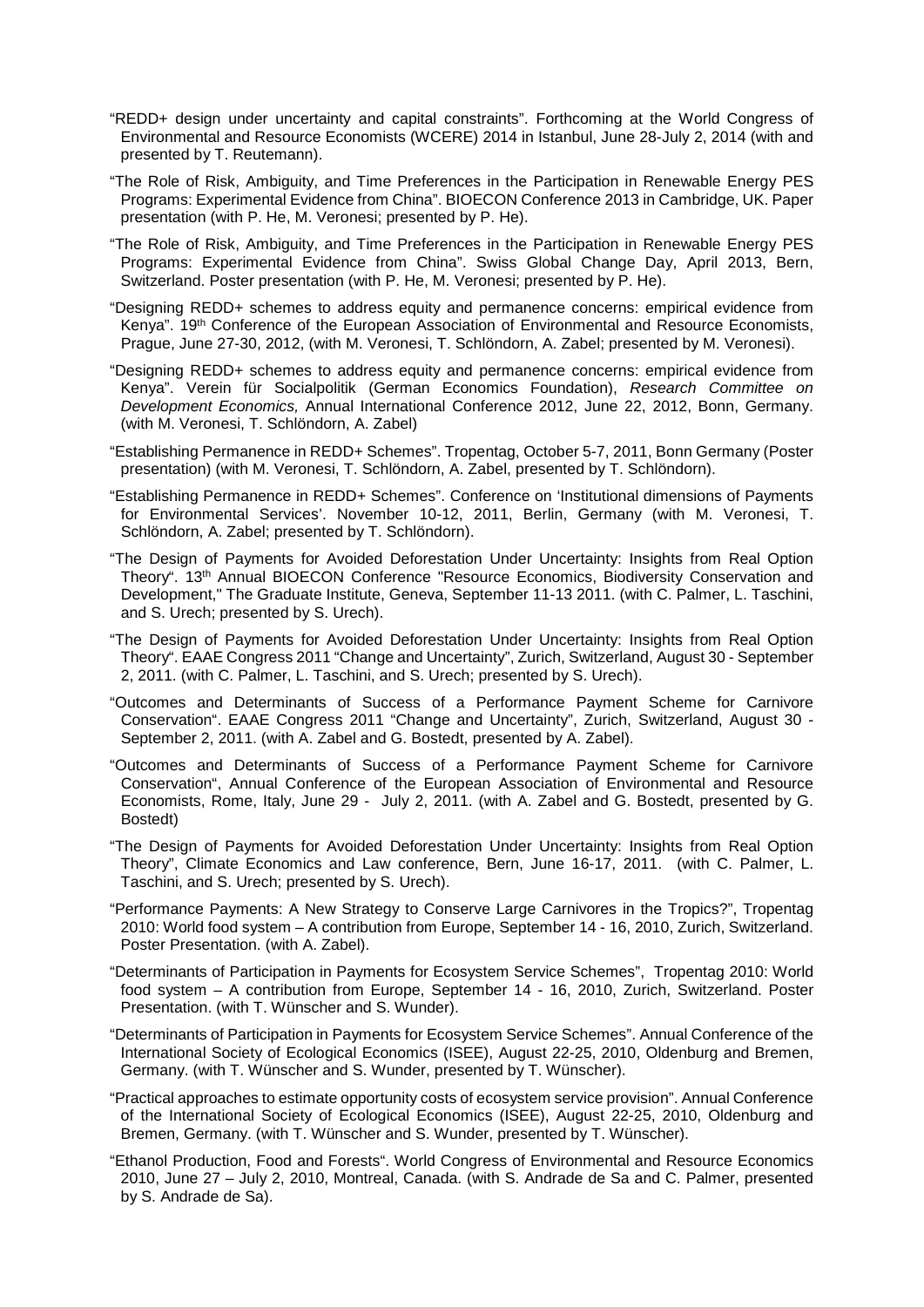- "REDD+ design under uncertainty and capital constraints". Forthcoming at the World Congress of Environmental and Resource Economists (WCERE) 2014 in Istanbul, June 28-July 2, 2014 (with and presented by T. Reutemann).
- "The Role of Risk, Ambiguity, and Time Preferences in the Participation in Renewable Energy PES Programs: Experimental Evidence from China". BIOECON Conference 2013 in Cambridge, UK. Paper presentation (with P. He, M. Veronesi; presented by P. He).
- "The Role of Risk, Ambiguity, and Time Preferences in the Participation in Renewable Energy PES Programs: Experimental Evidence from China". Swiss Global Change Day, April 2013, Bern, Switzerland. Poster presentation (with P. He, M. Veronesi; presented by P. He).
- "Designing REDD+ schemes to address equity and permanence concerns: empirical evidence from Kenya". 19th Conference of the European Association of Environmental and Resource Economists, Prague, June 27-30, 2012, (with M. Veronesi, T. Schlöndorn, A. Zabel; presented by M. Veronesi).
- "Designing REDD+ schemes to address equity and permanence concerns: empirical evidence from Kenya". Verein für Socialpolitik (German Economics Foundation), *Research Committee on Development Economics,* Annual International Conference 2012, June 22, 2012, Bonn, Germany. (with M. Veronesi, T. Schlöndorn, A. Zabel)
- "Establishing Permanence in REDD+ Schemes". Tropentag, October 5-7, 2011, Bonn Germany (Poster presentation) (with M. Veronesi, T. Schlöndorn, A. Zabel, presented by T. Schlöndorn).
- "Establishing Permanence in REDD+ Schemes". Conference on 'Institutional dimensions of Payments for Environmental Services'. November 10-12, 2011, Berlin, Germany (with M. Veronesi, T. Schlöndorn, A. Zabel; presented by T. Schlöndorn).
- "The Design of Payments for Avoided Deforestation Under Uncertainty: Insights from Real Option Theory". 13th Annual BIOECON Conference "Resource Economics, Biodiversity Conservation and Development," The Graduate Institute, Geneva, September 11-13 2011. (with C. Palmer, L. Taschini, and S. Urech; presented by S. Urech).
- "The Design of Payments for Avoided Deforestation Under Uncertainty: Insights from Real Option Theory". EAAE Congress 2011 "Change and Uncertainty", Zurich, Switzerland, August 30 - September 2, 2011. (with C. Palmer, L. Taschini, and S. Urech; presented by S. Urech).
- "Outcomes and Determinants of Success of a Performance Payment Scheme for Carnivore Conservation". EAAE Congress 2011 "Change and Uncertainty", Zurich, Switzerland, August 30 - September 2, 2011. (with A. Zabel and G. Bostedt, presented by A. Zabel).
- "Outcomes and Determinants of Success of a Performance Payment Scheme for Carnivore Conservation", Annual Conference of the European Association of Environmental and Resource Economists, Rome, Italy, June 29 - July 2, 2011. (with A. Zabel and G. Bostedt, presented by G. Bostedt)
- "The Design of Payments for Avoided Deforestation Under Uncertainty: Insights from Real Option Theory", Climate Economics and Law conference, Bern, June 16-17, 2011. (with C. Palmer, L. Taschini, and S. Urech; presented by S. Urech).
- "Performance Payments: A New Strategy to Conserve Large Carnivores in the Tropics?", Tropentag 2010: World food system – A contribution from Europe, September 14 - 16, 2010, Zurich, Switzerland. Poster Presentation. (with A. Zabel).
- "Determinants of Participation in Payments for Ecosystem Service Schemes", Tropentag 2010: World food system – A contribution from Europe, September 14 - 16, 2010, Zurich, Switzerland. Poster Presentation. (with T. Wünscher and S. Wunder).
- "Determinants of Participation in Payments for Ecosystem Service Schemes". Annual Conference of the International Society of Ecological Economics (ISEE), August 22-25, 2010, Oldenburg and Bremen, Germany. (with T. Wünscher and S. Wunder, presented by T. Wünscher).
- "Practical approaches to estimate opportunity costs of ecosystem service provision". Annual Conference of the International Society of Ecological Economics (ISEE), August 22-25, 2010, Oldenburg and Bremen, Germany. (with T. Wünscher and S. Wunder, presented by T. Wünscher).
- "Ethanol Production, Food and Forests". World Congress of Environmental and Resource Economics 2010, June 27 – July 2, 2010, Montreal, Canada. (with S. Andrade de Sa and C. Palmer, presented by S. Andrade de Sa).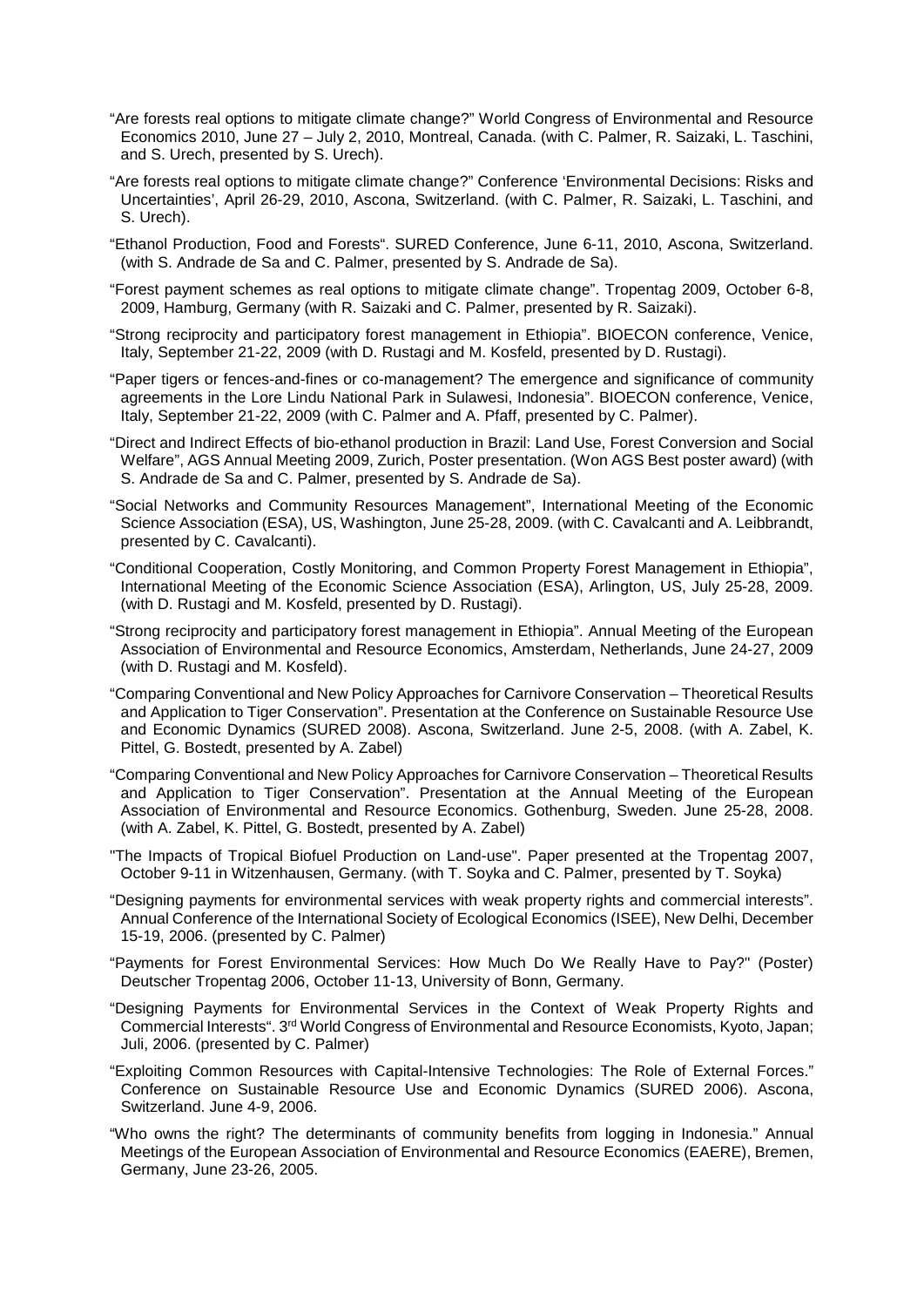- "Are forests real options to mitigate climate change?" World Congress of Environmental and Resource Economics 2010, June 27 – July 2, 2010, Montreal, Canada. (with C. Palmer, R. Saizaki, L. Taschini, and S. Urech, presented by S. Urech).
- "Are forests real options to mitigate climate change?" Conference 'Environmental Decisions: Risks and Uncertainties', April 26-29, 2010, Ascona, Switzerland. (with C. Palmer, R. Saizaki, L. Taschini, and S. Urech).
- "Ethanol Production, Food and Forests". SURED Conference, June 6-11, 2010, Ascona, Switzerland. (with S. Andrade de Sa and C. Palmer, presented by S. Andrade de Sa).
- "Forest payment schemes as real options to mitigate climate change". Tropentag 2009, October 6-8, 2009, Hamburg, Germany (with R. Saizaki and C. Palmer, presented by R. Saizaki).
- "Strong reciprocity and participatory forest management in Ethiopia". BIOECON conference, Venice, Italy, September 21-22, 2009 (with D. Rustagi and M. Kosfeld, presented by D. Rustagi).
- "Paper tigers or fences-and-fines or co-management? The emergence and significance of community agreements in the Lore Lindu National Park in Sulawesi, Indonesia". BIOECON conference, Venice, Italy, September 21-22, 2009 (with C. Palmer and A. Pfaff, presented by C. Palmer).
- "Direct and Indirect Effects of bio-ethanol production in Brazil: Land Use, Forest Conversion and Social Welfare", AGS Annual Meeting 2009, Zurich, Poster presentation. (Won AGS Best poster award) (with S. Andrade de Sa and C. Palmer, presented by S. Andrade de Sa).
- "Social Networks and Community Resources Management", International Meeting of the Economic Science Association (ESA), US, Washington, June 25-28, 2009. (with C. Cavalcanti and A. Leibbrandt, presented by C. Cavalcanti).
- "Conditional Cooperation, Costly Monitoring, and Common Property Forest Management in Ethiopia", International Meeting of the Economic Science Association (ESA), Arlington, US, July 25-28, 2009. (with D. Rustagi and M. Kosfeld, presented by D. Rustagi).
- "Strong reciprocity and participatory forest management in Ethiopia". Annual Meeting of the European Association of Environmental and Resource Economics, Amsterdam, Netherlands, June 24-27, 2009 (with D. Rustagi and M. Kosfeld).
- "Comparing Conventional and New Policy Approaches for Carnivore Conservation Theoretical Results and Application to Tiger Conservation". Presentation at the Conference on Sustainable Resource Use and Economic Dynamics (SURED 2008). Ascona, Switzerland. June 2-5, 2008. (with A. Zabel, K. Pittel, G. Bostedt, presented by A. Zabel)
- "Comparing Conventional and New Policy Approaches for Carnivore Conservation Theoretical Results and Application to Tiger Conservation". Presentation at the Annual Meeting of the European Association of Environmental and Resource Economics. Gothenburg, Sweden. June 25-28, 2008. (with A. Zabel, K. Pittel, G. Bostedt, presented by A. Zabel)
- "The Impacts of Tropical Biofuel Production on Land-use". Paper presented at the Tropentag 2007, October 9-11 in Witzenhausen, Germany. (with T. Soyka and C. Palmer, presented by T. Soyka)
- "Designing payments for environmental services with weak property rights and commercial interests". Annual Conference of the International Society of Ecological Economics (ISEE), New Delhi, December 15-19, 2006. (presented by C. Palmer)
- "Payments for Forest Environmental Services: How Much Do We Really Have to Pay?" (Poster) Deutscher Tropentag 2006, October 11-13, University of Bonn, Germany.
- "Designing Payments for Environmental Services in the Context of Weak Property Rights and Commercial Interests". 3rd World Congress of Environmental and Resource Economists, Kyoto, Japan; Juli, 2006. (presented by C. Palmer)
- "Exploiting Common Resources with Capital-Intensive Technologies: The Role of External Forces." Conference on Sustainable Resource Use and Economic Dynamics (SURED 2006). Ascona, Switzerland. June 4-9, 2006.
- "Who owns the right? The determinants of community benefits from logging in Indonesia." Annual Meetings of the European Association of Environmental and Resource Economics (EAERE), Bremen, Germany, June 23-26, 2005.